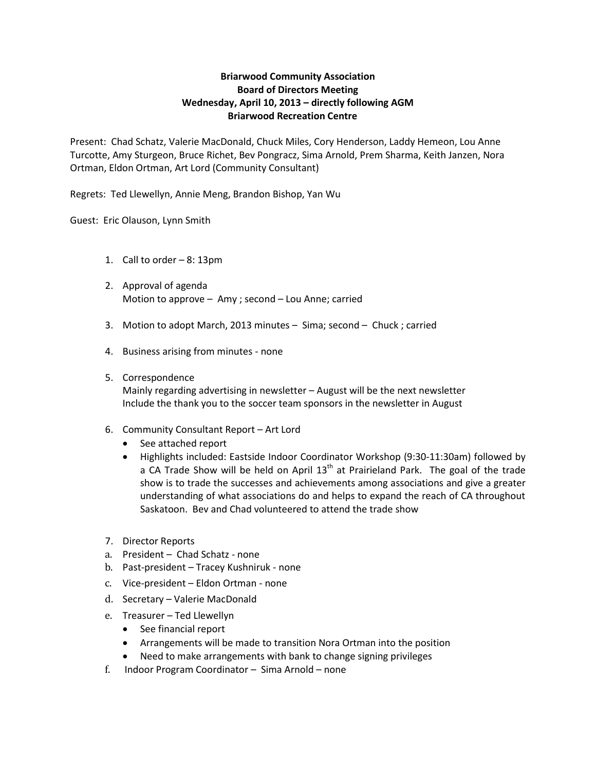### **Briarwood Community Association Board of Directors Meeting Wednesday, April 10, 2013 – directly following AGM Briarwood Recreation Centre**

Present: Chad Schatz, Valerie MacDonald, Chuck Miles, Cory Henderson, Laddy Hemeon, Lou Anne Turcotte, Amy Sturgeon, Bruce Richet, Bev Pongracz, Sima Arnold, Prem Sharma, Keith Janzen, Nora Ortman, Eldon Ortman, Art Lord (Community Consultant)

Regrets: Ted Llewellyn, Annie Meng, Brandon Bishop, Yan Wu

Guest: Eric Olauson, Lynn Smith

- 1. Call to order 8: 13pm
- 2. Approval of agenda Motion to approve – Amy ; second – Lou Anne; carried
- 3. Motion to adopt March, 2013 minutes Sima; second Chuck ; carried
- 4. Business arising from minutes none

#### 5. Correspondence

Mainly regarding advertising in newsletter – August will be the next newsletter Include the thank you to the soccer team sponsors in the newsletter in August

- 6. Community Consultant Report Art Lord
	- See attached report
	- Highlights included: Eastside Indoor Coordinator Workshop (9:30-11:30am) followed by a CA Trade Show will be held on April  $13<sup>th</sup>$  at Prairieland Park. The goal of the trade show is to trade the successes and achievements among associations and give a greater understanding of what associations do and helps to expand the reach of CA throughout Saskatoon. Bev and Chad volunteered to attend the trade show
- 7. Director Reports
- a. President Chad Schatz none
- b. Past-president Tracey Kushniruk none
- c. Vice-president Eldon Ortman none
- d. Secretary Valerie MacDonald
- e. Treasurer Ted Llewellyn
	- See financial report
	- Arrangements will be made to transition Nora Ortman into the position
	- Need to make arrangements with bank to change signing privileges
- f. Indoor Program Coordinator Sima Arnold none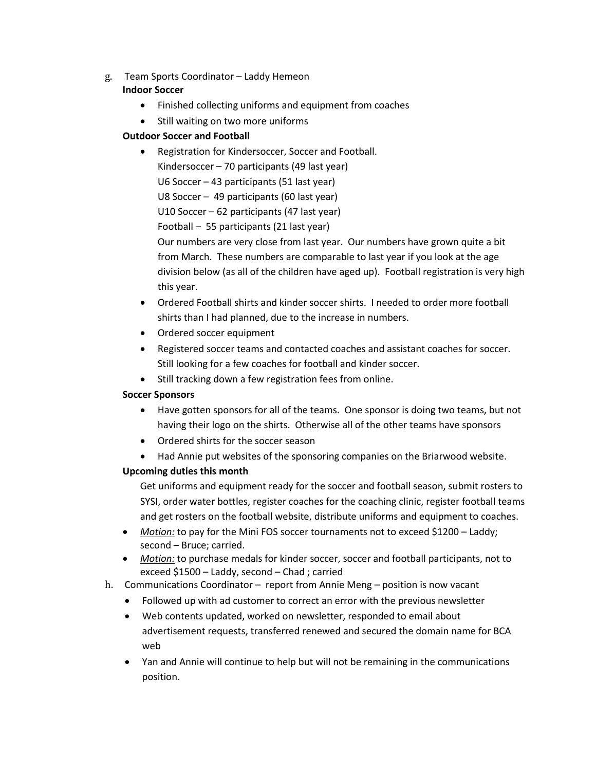- g. Team Sports Coordinator Laddy Hemeon **Indoor Soccer**
	- Finished collecting uniforms and equipment from coaches
	- Still waiting on two more uniforms

# **Outdoor Soccer and Football**

- Registration for Kindersoccer, Soccer and Football. Kindersoccer – 70 participants (49 last year) U6 Soccer – 43 participants (51 last year) U8 Soccer – 49 participants (60 last year) U10 Soccer – 62 participants (47 last year) Football – 55 participants (21 last year) Our numbers are very close from last year. Our numbers have grown quite a bit from March. These numbers are comparable to last year if you look at the age division below (as all of the children have aged up). Football registration is very high this year.
- Ordered Football shirts and kinder soccer shirts. I needed to order more football shirts than I had planned, due to the increase in numbers.
- Ordered soccer equipment
- Registered soccer teams and contacted coaches and assistant coaches for soccer. Still looking for a few coaches for football and kinder soccer.
- Still tracking down a few registration fees from online.

## **Soccer Sponsors**

- Have gotten sponsors for all of the teams. One sponsor is doing two teams, but not having their logo on the shirts. Otherwise all of the other teams have sponsors
- Ordered shirts for the soccer season
- Had Annie put websites of the sponsoring companies on the Briarwood website.

# **Upcoming duties this month**

Get uniforms and equipment ready for the soccer and football season, submit rosters to SYSI, order water bottles, register coaches for the coaching clinic, register football teams and get rosters on the football website, distribute uniforms and equipment to coaches.

- *Motion:* to pay for the Mini FOS soccer tournaments not to exceed \$1200 Laddy; second – Bruce; carried.
- *Motion:* to purchase medals for kinder soccer, soccer and football participants, not to exceed \$1500 – Laddy, second – Chad ; carried
- h. Communications Coordinator report from Annie Meng position is now vacant
	- Followed up with ad customer to correct an error with the previous newsletter
	- Web contents updated, worked on newsletter, responded to email about advertisement requests, transferred renewed and secured the domain name for BCA web
	- Yan and Annie will continue to help but will not be remaining in the communications position.